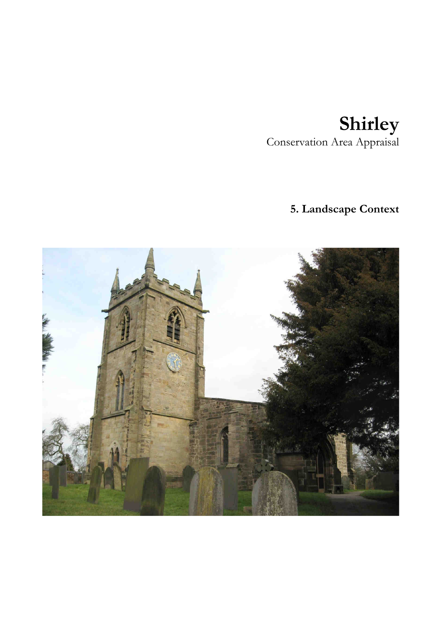## **Shirley**  Conservation Area Appraisal

# **5. Landscape Context**

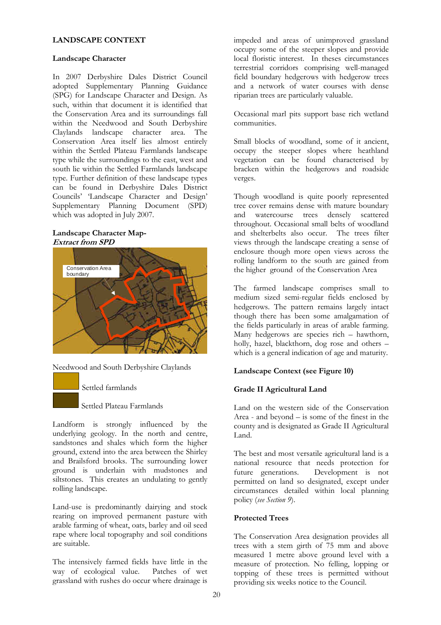#### **LANDSCAPE CONTEXT**

#### **Landscape Character**

In 2007 Derbyshire Dales District Council adopted Supplementary Planning Guidance (SPG) for Landscape Character and Design. As such, within that document it is identified that the Conservation Area and its surroundings fall within the Needwood and South Derbyshire Claylands landscape character area. The Conservation Area itself lies almost entirely within the Settled Plateau Farmlands landscape type while the surroundings to the east, west and south lie within the Settled Farmlands landscape type. Further definition of these landscape types can be found in Derbyshire Dales District Councils' 'Landscape Character and Design' Supplementary Planning Document (SPD) which was adopted in July 2007.

#### **Landscape Character Map-Extract from SPD**



Needwood and South Derbyshire Claylands

Settled farmlands

Settled Plateau Farmlands

Landform is strongly influenced by the underlying geology. In the north and centre, sandstones and shales which form the higher ground, extend into the area between the Shirley and Brailsford brooks. The surrounding lower ground is underlain with mudstones and siltstones. This creates an undulating to gently rolling landscape.

Land-use is predominantly dairying and stock rearing on improved permanent pasture with arable farming of wheat, oats, barley and oil seed rape where local topography and soil conditions are suitable.

The intensively farmed fields have little in the way of ecological value. Patches of wet grassland with rushes do occur where drainage is impeded and areas of unimproved grassland occupy some of the steeper slopes and provide local floristic interest. In theses circumstances terrestrial corridors comprising well-managed field boundary hedgerows with hedgerow trees and a network of water courses with dense riparian trees are particularly valuable.

Occasional marl pits support base rich wetland communities.

Small blocks of woodland, some of it ancient, occupy the steeper slopes where heathland vegetation can be found characterised by bracken within the hedgerows and roadside verges.

Though woodland is quite poorly represented tree cover remains dense with mature boundary and watercourse trees densely scattered throughout. Occasional small belts of woodland and shelterbelts also occur. The trees filter views through the landscape creating a sense of enclosure though more open views across the rolling landform to the south are gained from the higher ground of the Conservation Area

The farmed landscape comprises small to medium sized semi-regular fields enclosed by hedgerows. The pattern remains largely intact though there has been some amalgamation of the fields particularly in areas of arable farming. Many hedgerows are species rich – hawthorn, holly, hazel, blackthorn, dog rose and others – which is a general indication of age and maturity.

## **Landscape Context (see Figure 10)**

## **Grade II Agricultural Land**

Land on the western side of the Conservation Area - and beyond – is some of the finest in the county and is designated as Grade II Agricultural Land.

The best and most versatile agricultural land is a national resource that needs protection for<br>future generations. Development is not Development is not permitted on land so designated, except under circumstances detailed within local planning policy (*see Section 9*).

## **Protected Trees**

The Conservation Area designation provides all trees with a stem girth of 75 mm and above measured 1 metre above ground level with a measure of protection. No felling, lopping or topping of these trees is permitted without providing six weeks notice to the Council.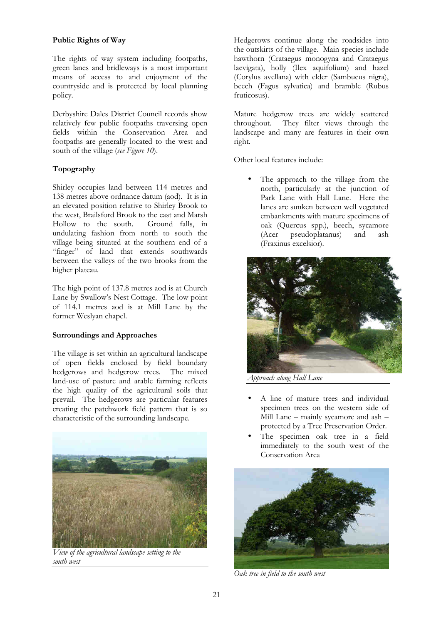### **Public Rights of Way**

The rights of way system including footpaths, green lanes and bridleways is a most important means of access to and enjoyment of the countryside and is protected by local planning policy.

Derbyshire Dales District Council records show relatively few public footpaths traversing open fields within the Conservation Area and footpaths are generally located to the west and south of the village (*see Figure 10*).

## **Topography**

Shirley occupies land between 114 metres and 138 metres above ordnance datum (aod). It is in an elevated position relative to Shirley Brook to the west, Brailsford Brook to the east and Marsh Hollow to the south. Ground falls, in undulating fashion from north to south the village being situated at the southern end of a "finger" of land that extends southwards between the valleys of the two brooks from the higher plateau.

The high point of 137.8 metres aod is at Church Lane by Swallow's Nest Cottage. The low point of 114.1 metres aod is at Mill Lane by the former Weslyan chapel.

## **Surroundings and Approaches**

The village is set within an agricultural landscape of open fields enclosed by field boundary hedgerows and hedgerow trees. The mixed land-use of pasture and arable farming reflects the high quality of the agricultural soils that prevail. The hedgerows are particular features creating the patchwork field pattern that is so characteristic of the surrounding landscape.



*View of the agricultural landscape setting to the south west* 

Hedgerows continue along the roadsides into the outskirts of the village. Main species include hawthorn (Crataegus monogyna and Crataegus laevigata), holly (Ilex aquifolium) and hazel (Corylus avellana) with elder (Sambucus nigra), beech (Fagus sylvatica) and bramble (Rubus fruticosus).

Mature hedgerow trees are widely scattered throughout. They filter views through the landscape and many are features in their own right.

Other local features include:

The approach to the village from the north, particularly at the junction of Park Lane with Hall Lane. Here the lanes are sunken between well vegetated embankments with mature specimens of oak (Quercus spp.), beech, sycamore (Acer pseudoplatanus) and ash (Fraxinus excelsior).



*Approach along Hall Lane*

- A line of mature trees and individual specimen trees on the western side of Mill Lane – mainly sycamore and ash – protected by a Tree Preservation Order.
- The specimen oak tree in a field immediately to the south west of the Conservation Area



*Oak tree in field to the south west*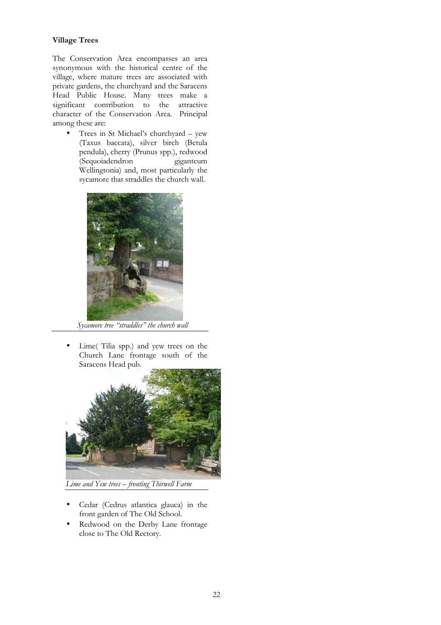### **Village Trees**

The Conservation Area encompasses an area synonymous with the historical centre of the village, where mature trees are associated with private gardens, the churchyard and the Saracens Head Public House. Many trees make a significant contribution to the attractive character of the Conservation Area. Principal among these are:

• Trees in St Michael's churchyard – yew (Taxus baccata), silver birch (Betula pendula), cherry (Prunus spp.), redwood (Sequoiadendron Wellingtonia) and, most particularly the sycamore that straddles the church wall.



 *Sycamore tree "straddles" the church wall* 

• Lime( Tilia spp.) and yew trees on the Church Lane frontage south of the Saracens Head pub.



*Lime and Yew trees – fronting Thirwell Farm* 

- Cedar (Cedrus atlantica glauca) in the front garden of The Old School.
- Redwood on the Derby Lane frontage close to The Old Rectory.